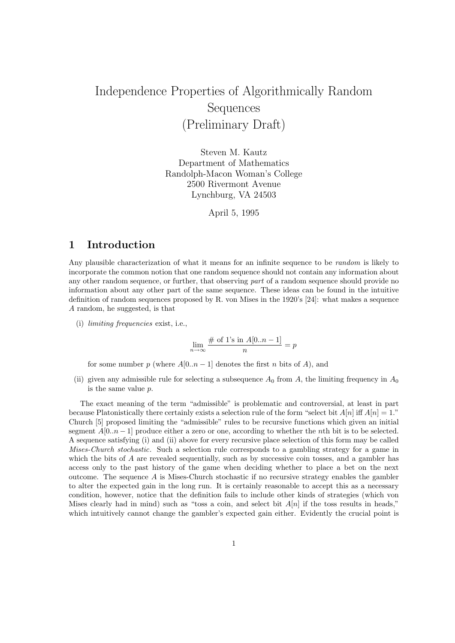# Independence Properties of Algorithmically Random Sequences (Preliminary Draft)

Steven M. Kautz Department of Mathematics Randolph-Macon Woman's College 2500 Rivermont Avenue Lynchburg, VA 24503

April 5, 1995

## 1 Introduction

Any plausible characterization of what it means for an infinite sequence to be *random* is likely to incorporate the common notion that one random sequence should not contain any information about any other random sequence, or further, that observing part of a random sequence should provide no information about any other part of the same sequence. These ideas can be found in the intuitive definition of random sequences proposed by R. von Mises in the 1920's [24]: what makes a sequence A random, he suggested, is that

(i) limiting frequencies exist, i.e.,

$$
\lim_{n \to \infty} \frac{\# \text{ of } 1 \text{'s in } A[0..n-1]}{n} = p
$$

for some number p (where  $A[0..n-1]$  denotes the first n bits of A), and

(ii) given any admissible rule for selecting a subsequence  $A_0$  from A, the limiting frequency in  $A_0$ is the same value p.

The exact meaning of the term "admissible" is problematic and controversial, at least in part because Platonistically there certainly exists a selection rule of the form "select bit  $A[n]$  iff  $A[n] = 1$ ." Church [5] proposed limiting the "admissible" rules to be recursive functions which given an initial segment  $A[0..n-1]$  produce either a zero or one, according to whether the *n*th bit is to be selected. A sequence satisfying (i) and (ii) above for every recursive place selection of this form may be called Mises-Church stochastic. Such a selection rule corresponds to a gambling strategy for a game in which the bits of A are revealed sequentially, such as by successive coin tosses, and a gambler has access only to the past history of the game when deciding whether to place a bet on the next outcome. The sequence  $A$  is Mises-Church stochastic if no recursive strategy enables the gambler to alter the expected gain in the long run. It is certainly reasonable to accept this as a necessary condition, however, notice that the definition fails to include other kinds of strategies (which von Mises clearly had in mind) such as "toss a coin, and select bit  $A[n]$  if the toss results in heads," which intuitively cannot change the gambler's expected gain either. Evidently the crucial point is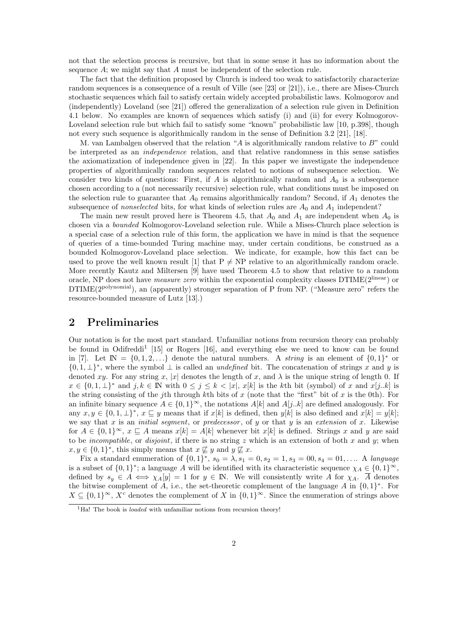not that the selection process is recursive, but that in some sense it has no information about the sequence A; we might say that A must be independent of the selection rule.

The fact that the definition proposed by Church is indeed too weak to satisfactorily characterize random sequences is a consequence of a result of Ville (see [23] or [21]), i.e., there are Mises-Church stochastic sequences which fail to satisfy certain widely accepted probabilistic laws. Kolmogorov and (independently) Loveland (see [21]) offered the generalization of a selection rule given in Definition 4.1 below. No examples are known of sequences which satisfy (i) and (ii) for every Kolmogorov-Loveland selection rule but which fail to satisfy some "known" probabilistic law [10, p.398], though not every such sequence is algorithmically random in the sense of Definition 3.2 [21], [18].

M. van Lambalgen observed that the relation "A is algorithmically random relative to  $B$ " could be interpreted as an independence relation, and that relative randomness in this sense satisfies the axiomatization of independence given in [22]. In this paper we investigate the independence properties of algorithmically random sequences related to notions of subsequence selection. We consider two kinds of questions: First, if A is algorithmically random and  $A_0$  is a subsequence chosen according to a (not necessarily recursive) selection rule, what conditions must be imposed on the selection rule to guarantee that  $A_0$  remains algorithmically random? Second, if  $A_1$  denotes the subsequence of *nonselected* bits, for what kinds of selection rules are  $A_0$  and  $A_1$  independent?

The main new result proved here is Theorem 4.5, that  $A_0$  and  $A_1$  are independent when  $A_0$  is chosen via a bounded Kolmogorov-Loveland selection rule. While a Mises-Church place selection is a special case of a selection rule of this form, the application we have in mind is that the sequence of queries of a time-bounded Turing machine may, under certain conditions, be construed as a bounded Kolmogorov-Loveland place selection. We indicate, for example, how this fact can be used to prove the well known result [1] that  $P \neq NP$  relative to an algorithmically random oracle. More recently Kautz and Miltersen [9] have used Theorem 4.5 to show that relative to a random oracle, NP does not have *measure zero* within the exponential complexity classes DTIME(2<sup>linear</sup>) or DTIME(2polynomial), an (apparently) stronger separation of P from NP. ("Measure zero" refers the resource-bounded measure of Lutz [13].)

#### 2 Preliminaries

Our notation is for the most part standard. Unfamiliar notions from recursion theory can probably be found in Odifreddi<sup>1</sup> [15] or Rogers [16], and everything else we need to know can be found in [7]. Let  $\mathbb{N} = \{0, 1, 2, \ldots\}$  denote the natural numbers. A *string* is an element of  $\{0, 1\}^*$  or  $\{0,1,\perp\}^*$ , where the symbol  $\perp$  is called an *undefined* bit. The concatenation of strings x and y is denoted xy. For any string x, |x| denotes the length of x, and  $\lambda$  is the unique string of length 0. If  $x \in \{0,1,\perp\}^*$  and  $j,k \in \mathbb{N}$  with  $0 \leq j \leq k < |x|, x[k]$  is the kth bit (symbol) of x and  $x[j..k]$  is the string consisting of the j<sup>th</sup> through kth bits of x (note that the "first" bit of x is the 0th). For an infinite binary sequence  $A \in \{0,1\}^{\infty}$ , the notations  $A[k]$  and  $A[j..k]$  are defined analogously. For any  $x, y \in \{0, 1, \perp\}^*, x \sqsubseteq y$  means that if  $x[k]$  is defined, then  $y[k]$  is also defined and  $x[k] = y[k]$ ; we say that x is an *initial segment*, or *predecessor*, of y or that y is an *extension* of x. Likewise for  $A \in \{0,1\}^{\infty}$ ,  $x \subseteq A$  means  $x[k] = A[k]$  whenever bit  $x[k]$  is defined. Strings x and y are said to be *incompatible*, or *disjoint*, if there is no string  $z$  which is an extension of both  $x$  and  $y$ ; when  $x, y \in \{0,1\}^*$ , this simply means that  $x \not\sqsubseteq y$  and  $y \not\sqsubseteq x$ .

Fix a standard enumeration of  $\{0,1\}^*$ ,  $s_0 = \lambda$ ,  $s_1 = 0$ ,  $s_2 = 1$ ,  $s_3 = 00$ ,  $s_4 = 01$ , .... A language is a subset of  $\{0,1\}^*$ ; a language A will be identified with its characteristic sequence  $\chi_A \in \{0,1\}^{\infty}$ , defined by  $s_y \in A \iff \chi_A[y] = 1$  for  $y \in \mathbb{N}$ . We will consistently write A for  $\chi_A$ .  $\overline{A}$  denotes the bitwise complement of A, i.e., the set-theoretic complement of the language A in  $\{0,1\}^*$ . For  $X \subseteq \{0,1\}^{\infty}$ ,  $X^c$  denotes the complement of X in  $\{0,1\}^{\infty}$ . Since the enumeration of strings above

<sup>&</sup>lt;sup>1</sup>Ha! The book is *loaded* with unfamiliar notions from recursion theory!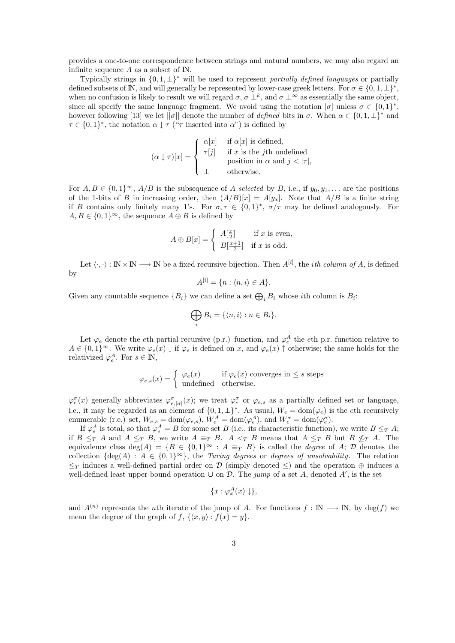provides a one-to-one correspondence between strings and natural numbers, we may also regard an infinite sequence  $A$  as a subset of  $\mathbb N$ .

Typically strings in  $\{0, 1, \perp\}^*$  will be used to represent partially defined languages or partially defined subsets of  $\mathbb{N}$ , and will generally be represented by lower-case greek letters. For  $\sigma \in \{0, 1, \perp\}^*$ , when no confusion is likely to result we will regard  $\sigma, \sigma \perp^k$ , and  $\sigma \perp^{\infty}$  as essentially the same object, since all specify the same language fragment. We avoid using the notation  $|\sigma|$  unless  $\sigma \in \{0,1\}^*$ , however following [13] we let  $||\sigma||$  denote the number of *defined* bits in  $\sigma$ . When  $\alpha \in \{0, 1, \perp\}^*$  and  $\tau \in \{0,1\}^*$ , the notation  $\alpha \downarrow \tau$  (" $\tau$  inserted into  $\alpha$ ") is defined by

$$
(\alpha \downarrow \tau)[x] = \begin{cases} \alpha[x] & \text{if } \alpha[x] \text{ is defined,} \\ \tau[j] & \text{if } x \text{ is the } j\text{th undefined} \\ \text{position in } \alpha \text{ and } j < |\tau|, \\ \bot & \text{otherwise.} \end{cases}
$$

For  $A, B \in \{0,1\}^{\infty}$ ,  $A/B$  is the subsequence of A selected by B, i.e., if  $y_0, y_1, \ldots$  are the positions of the 1-bits of B in increasing order, then  $(A/B)[x] = A[y_x]$ . Note that  $A/B$  is a finite string if B contains only finitely many 1's. For  $\sigma, \tau \in \{0,1\}^*$ ,  $\sigma/\tau$  may be defined analogously. For  $A, B \in \{0,1\}^{\infty}$ , the sequence  $A \oplus B$  is defined by

$$
A \oplus B[x] = \begin{cases} A[\frac{x}{2}] & \text{if } x \text{ is even,} \\ B[\frac{x+1}{2}] & \text{if } x \text{ is odd.} \end{cases}
$$

Let  $\langle \cdot, \cdot \rangle : \mathbb{N} \times \mathbb{N} \longrightarrow \mathbb{N}$  be a fixed recursive bijection. Then  $A^{[i]}$ , the *ith column of A*, is defined by

$$
A^{[i]} = \{n : \langle n, i \rangle \in A\}.
$$

Given any countable sequence  $\{B_i\}$  we can define a set  $\bigoplus_i B_i$  whose *i*th column is  $B_i$ :

$$
\bigoplus_i B_i = \{ \langle n, i \rangle : n \in B_i \}.
$$

Let  $\varphi_e$  denote the eth partial recursive (p.r.) function, and  $\varphi_e^A$  the eth p.r. function relative to  $A \in \{0,1\}^{\infty}$ . We write  $\varphi_e(x) \downarrow$  if  $\varphi_e$  is defined on x, and  $\varphi_e(x) \uparrow$  otherwise; the same holds for the relativized  $\varphi_e^A$ . For  $s \in \mathbb{N}$ ,

$$
\varphi_{e,s}(x) = \begin{cases} \varphi_e(x) & \text{if } \varphi_e(x) \text{ converges in } \le s \text{ steps} \\ \text{undefined} & \text{otherwise.} \end{cases}
$$

 $\varphi_e^{\sigma}(x)$  generally abbreviates  $\varphi_{e,|\sigma|}^{\sigma}(x)$ ; we treat  $\varphi_e^{\sigma}$  or  $\varphi_{e,s}$  as a partially defined set or language, i.e., it may be regarded as an element of  $\{0,1,\perp\}^*$ . As usual,  $W_e = \text{dom}(\varphi_e)$  is the eth recursively enumerable (r.e.) set,  $W_{e,s} = \text{dom}(\varphi_{e,s}), W_e^A = \text{dom}(\varphi_e^A)$ , and  $W_e^{\sigma} = \text{dom}(\varphi_e^{\sigma})$ .

If  $\varphi_e^A$  is total, so that  $\varphi_e^A = B$  for some set B (i.e., its characteristic function), we write  $B \leq_T A$ ; if  $B \leq_T A$  and  $A \leq_T B$ , we write  $A \equiv_T B$ .  $A \leq_T B$  means that  $A \leq_T B$  but  $B \nleq_T A$ . The equivalence class deg(A) = {B ∈ {0, 1}<sup>∞</sup> : A  $\equiv_T B$ } is called the *degree* of A; D denotes the collection  $\{\deg(A) : A \in \{0,1\}^{\infty}\}\$ , the Turing degrees or degrees of unsolvability. The relation  $\leq_T$  induces a well-defined partial order on D (simply denoted  $\leq$ ) and the operation  $\oplus$  induces a well-defined least upper bound operation  $\cup$  on  $\mathcal D$ . The jump of a set A, denoted A', is the set

$$
\{x:\varphi^A_x(x)\downarrow\},\
$$

and  $A^{(n)}$  represents the *n*th iterate of the jump of A. For functions  $f : \mathbb{N} \longrightarrow \mathbb{N}$ , by deg(f) we mean the degree of the graph of  $f$ ,  $\{\langle x, y \rangle : f(x) = y\}.$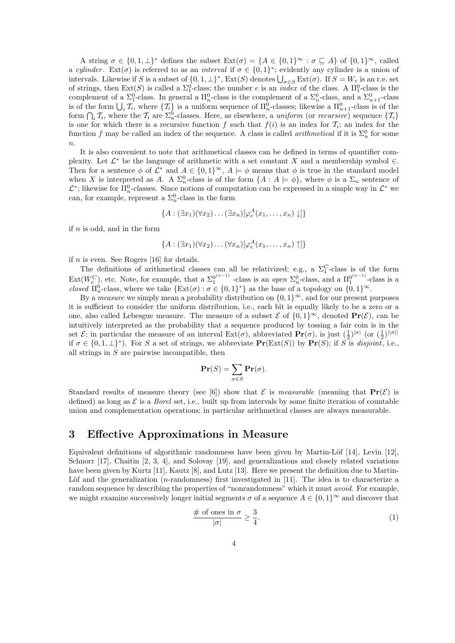A string  $\sigma \in \{0, 1, \perp\}^*$  defines the subset  $\text{Ext}(\sigma) = \{A \in \{0, 1\}^\infty : \sigma \sqsubseteq A\}$  of  $\{0, 1\}^\infty$ , called a cylinder. Ext( $\sigma$ ) is referred to as an *interval* if  $\sigma \in \{0,1\}^*$ ; evidently any cylinder is a union of intervals. Likewise if S is a subset of  $\{0, 1, \perp\}^*$ ,  $\text{Ext}(S)$  denotes  $\bigcup_{\sigma \in S} \text{Ext}(\sigma)$ . If  $S = W_e$  is an r.e. set of strings, then  $Ext(S)$  is called a  $\Sigma_1^0$ -class; the number e is an *index* of the class. A  $\Pi_1^0$ -class is the complement of a  $\Sigma_1^0$ -class. In general a  $\Pi_n^0$ -class is the complement of a  $\Sigma_n^0$ -class, and a  $\Sigma_{n+1}^0$ -class is of the form  $\bigcup_i \mathcal{T}_i$ , where  $\{\mathcal{T}_i\}$  is a uniform sequence of  $\Pi_n^0$ -classes; likewise a  $\Pi_{n+1}^0$ -class is of the form  $\bigcap_i \mathcal{T}_i$ , where the  $\mathcal{T}_i$  are  $\Sigma_n^0$ -classes. Here, as elsewhere, a *uniform* (or *recursive*) sequence  $\{\mathcal{T}_i\}$ is one for which there is a recursive function f such that  $f(i)$  is an index for  $\mathcal{T}_i$ ; an index for the function f may be called an index of the sequence. A class is called *arithmetical* if it is  $\Sigma_n^0$  for some  $\overline{n}$ .

It is also convenient to note that arithmetical classes can be defined in terms of quantifier complexity. Let  $\mathcal{L}^*$  be the language of arithmetic with a set constant X and a membership symbol  $\in$ . Then for a sentence  $\phi$  of  $\mathcal{L}^*$  and  $A \in \{0,1\}^{\infty}$ ,  $A \models \phi$  means that  $\phi$  is true in the standard model when X is interpreted as A. A  $\Sigma_n^0$ -class is of the form  $\{A : A \models \phi\}$ , where  $\phi$  is a  $\Sigma_n$  sentence of  $\mathcal{L}^*$ ; likewise for  $\Pi_n^0$ -classes. Since notions of computation can be expressed in a simple way in  $\mathcal{L}^*$  we can, for example, represent a  $\Sigma_n^0$ -class in the form

$$
\{A: (\exists x_1)(\forall x_2)\dots(\exists x_n)[\varphi_e^A(x_1,\dots,x_n)\downarrow]\}
$$

if  $n$  is odd, and in the form

$$
\{A: (\exists x_1)(\forall x_2)\dots(\forall x_n)[\varphi_e^A(x_1,\dots,x_n)\uparrow]\}
$$

if  $n$  is even. See Rogers [16] for details.

The definitions of arithmetical classes can all be relativized; e.g., a  $\Sigma_1^C$ -class is of the form  $Ext(W_e^C)$ , etc. Note, for example, that a  $\Sigma_1^{0^{(n-1)}}$  -class is an *open*  $\Sigma_n^0$ -class, and a  $\Pi_1^{0^{(n-1)}}$ -class is a closed  $\Pi_n^0$ -class, where we take  $\{\text{Ext}(\sigma) : \sigma \in \{0,1\}^*\}$  as the base of a topology on  $\{0,1\}^{\infty}$ .

By a *measure* we simply mean a probability distribution on  $\{0, 1\}^{\infty}$ , and for our present purposes it is sufficient to consider the uniform distribution, i.e., each bit is equally likely to be a zero or a one, also called Lebesgue measure. The measure of a subset  $\mathcal{E}$  of  $\{0, 1\}^{\infty}$ , denoted  $\text{Pr}(\mathcal{E})$ , can be intuitively interpreted as the probability that a sequence produced by tossing a fair coin is in the set  $\mathcal{E}$ ; in particular the measure of an interval  $\text{Ext}(\sigma)$ , abbreviated  $\text{Pr}(\sigma)$ , is just  $(\frac{1}{2})^{|\sigma|}$  (or  $(\frac{1}{2})^{||\sigma||}$ if  $\sigma \in \{0,1,\perp\}^*$ ). For S a set of strings, we abbreviate  $\Pr(\text{Ext}(S))$  by  $\Pr(S)$ ; if S is disjoint, i.e., all strings in  $S$  are pairwise incompatible, then

$$
\mathbf{Pr}(S) = \sum_{\sigma \in S} \mathbf{Pr}(\sigma).
$$

Standard results of measure theory (see [6]) show that  $\mathcal E$  is measurable (meaning that  $\Pr(\mathcal E)$  is defined) as long as  $\mathcal E$  is a *Borel* set, i.e., built up from intervals by some finite iteration of countable union and complementation operations; in particular arithmetical classes are always measurable.

## 3 Effective Approximations in Measure

Equivalent definitions of algorithmic randomness have been given by Martin-Löf  $[14]$ , Levin  $[12]$ , Schnorr [17], Chaitin [2, 3, 4], and Solovay [19], and generalizations and closely related variations have been given by Kurtz [11], Kautz [8], and Lutz [13]. Here we present the definition due to Martin-Löf and the generalization (*n*-randomness) first investigated in [11]. The idea is to characterize a random sequence by describing the properties of "nonrandomness" which it must *avoid*. For example, we might examine successively longer initial segments  $\sigma$  of a sequence  $A \in \{0,1\}^{\infty}$  and discover that

$$
\frac{\text{\# of ones in } \sigma}{|\sigma|} \ge \frac{3}{4}.\tag{1}
$$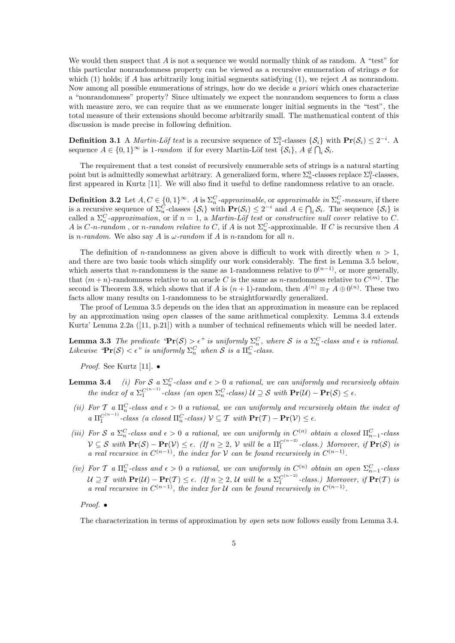We would then suspect that  $A$  is not a sequence we would normally think of as random. A "test" for this particular nonrandomness property can be viewed as a recursive enumeration of strings  $\sigma$  for which (1) holds; if A has arbitrarily long initial segments satisfying (1), we reject A as nonrandom. Now among all possible enumerations of strings, how do we decide a priori which ones characterize a "nonrandomness" property? Since ultimately we expect the nonrandom sequences to form a class with measure zero, we can require that as we enumerate longer initial segments in the "test", the total measure of their extensions should become arbitrarily small. The mathematical content of this discussion is made precise in following definition.

**Definition 3.1** A *Martin-Löf test* is a recursive sequence of  $\Sigma_1^0$ -classes  $\{S_i\}$  with  $\mathbf{Pr}(S_i) \leq 2^{-i}$ . A sequence  $A \in \{0,1\}^{\infty}$  is 1-random if for every Martin-Löf test  $\{\mathcal{S}_i\}, A \notin \bigcap_i \mathcal{S}_i$ .

The requirement that a test consist of recursively enumerable sets of strings is a natural starting point but is admittedly somewhat arbitrary. A generalized form, where  $\Sigma_n^0$ -classes replace  $\Sigma_1^0$ -classes, first appeared in Kurtz [11]. We will also find it useful to define randomness relative to an oracle.

**Definition 3.2** Let  $A, C \in \{0, 1\}^{\infty}$ . A is  $\Sigma_n^C$ -approximable, or approximable in  $\Sigma_n^C$ -measure, if there is a recursive sequence of  $\Sigma_n^C$ -classes  $\{S_i\}$  with  $\Pr(S_i) \leq 2^{-i}$  and  $A \in \bigcap_i S_i$ . The sequence  $\{S_i\}$  is called a  $\Sigma_n^C$ -approximation, or if  $n=1$ , a Martin-Löf test or constructive null cover relative to C. A is  $C$ -n-random, or n-random relative to C, if A is not  $\Sigma_n^C$ -approximable. If C is recursive then A is *n*-random. We also say A is  $\omega$ -random if A is *n*-random for all *n*.

The definition of *n*-randomness as given above is difficult to work with directly when  $n > 1$ , and there are two basic tools which simplify our work considerably. The first is Lemma 3.5 below, which asserts that n-randomness is the same as 1-randomness relative to  $0^{(n-1)}$ , or more generally, that  $(m+n)$ -randomness relative to an oracle C is the same as n-randomness relative to  $C^{(m)}$ . The second is Theorem 3.8, which shows that if A is  $(n+1)$ -random, then  $A^{(n)} \equiv_T A \oplus 0^{(n)}$ . These two facts allow many results on 1-randomness to be straightforwardly generalized.

The proof of Lemma 3.5 depends on the idea that an approximation in measure can be replaced by an approximation using open classes of the same arithmetical complexity. Lemma 3.4 extends Kurtz' Lemma 2.2a ([11, p.21]) with a number of technical refinements which will be needed later.

**Lemma 3.3** The predicate " $\Pr(S) > \epsilon$ " is uniformly  $\Sigma_n^C$ , where S is a  $\Sigma_n^C$ -class and  $\epsilon$  is rational. Likewise " $\Pr(\mathcal{S}) < \epsilon$ " is uniformly  $\Sigma_n^C$  when  $\mathcal{S}$  is a  $\Pi_n^C$ -class.

*Proof.* See Kurtz [11].  $\bullet$ 

- **Lemma 3.4** (i) For S a  $\Sigma_n^C$ -class and  $\epsilon > 0$  a rational, we can uniformly and recursively obtain the index of a  $\Sigma_1^{C^{(n-1)}}$ -class (an open  $\Sigma_n^C$ -class)  $\mathcal{U} \supseteq \mathcal{S}$  with  $\mathbf{Pr}(\mathcal{U}) - \mathbf{Pr}(\mathcal{S}) \leq \epsilon$ .
- (ii) For T a  $\Pi_n^C$ -class and  $\epsilon > 0$  a rational, we can uniformly and recursively obtain the index of  $a \prod_1^{C^{(n-1)}}$ -class (a closed  $\Pi_n^C$ -class)  $\mathcal{V} \subseteq \mathcal{T}$  with  $\Pr(\mathcal{T}) - \Pr(\mathcal{V}) \leq \epsilon$ .
- (iii) For S a  $\Sigma_n^C$ -class and  $\epsilon > 0$  a rational, we can uniformly in  $C^{(n)}$  obtain a closed  $\Pi_{n-1}^C$ -class  $\mathcal{V} \subseteq \mathcal{S}$  with  $\mathbf{Pr}(\mathcal{S}) - \mathbf{Pr}(\mathcal{V}) \le \epsilon$ . (If  $n \ge 2$ ,  $\mathcal{V}$  will be a  $\Pi_1^{C^{(n-2)}}$ -class.) Moreover, if  $\mathbf{Pr}(\mathcal{S})$  is a real recursive in  $C^{(n-1)}$ , the index for V can be found recursively in  $C^{(n-1)}$ .
- (iv) For T a  $\Pi_n^C$ -class and  $\epsilon > 0$  a rational, we can uniformly in  $C^{(n)}$  obtain an open  $\Sigma_{n-1}^C$ -class  $\mathcal{U} \supseteq \mathcal{T}$  with  $\mathbf{Pr}(\mathcal{U}) - \mathbf{Pr}(\mathcal{T}) \leq \epsilon$ . (If  $n \geq 2$ ,  $\mathcal{U}$  will be a  $\Sigma_1^{C^{(n-2)}}$ -class.) Moreover, if  $\mathbf{Pr}(\mathcal{T})$  is a real recursive in  $C^{(n-1)}$ , the index for U can be found recursively in  $C^{(n-1)}$ .

Proof. •

The characterization in terms of approximation by open sets now follows easily from Lemma 3.4.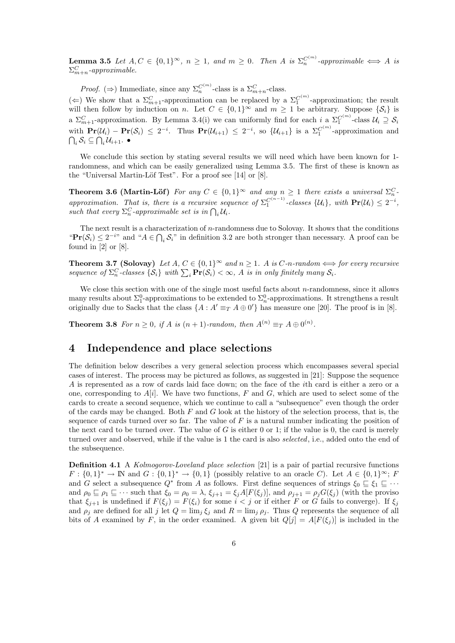**Lemma 3.5** Let  $A, C \in \{0,1\}^{\infty}$ ,  $n \geq 1$ , and  $m \geq 0$ . Then A is  $\Sigma_n^{C^{(m)}}$ -approximable  $\iff A$  is  $\Sigma_{m+n}^C$ -approximable.

*Proof.* ( $\Rightarrow$ ) Immediate, since any  $\Sigma_n^{C^{(m)}}$ -class is a  $\Sigma_{m+n}^C$ -class.

(←) We show that a  $\Sigma_{m+1}^C$ -approximation can be replaced by a  $\Sigma_1^{C^{(m)}}$ -approximation; the result will then follow by induction on n. Let  $C \in \{0,1\}^{\infty}$  and  $m \geq 1$  be arbitrary. Suppose  $\{\mathcal{S}_i\}$  is a  $\Sigma_{m+1}^C$ -approximation. By Lemma 3.4(i) we can uniformly find for each i a  $\Sigma_1^{C^{(m)}}$ -class  $\mathcal{U}_i \supseteq \mathcal{S}_i$ with  $\Pr(\mathcal{U}_i) - \Pr(\mathcal{S}_i) \leq 2^{-i}$ . Thus  $\Pr(\mathcal{U}_{i+1}) \leq 2^{-i}$ , so  $\{\mathcal{U}_{i+1}\}$  is a  $\Sigma_1^{C^{(m)}}$ -approximation and  $\bigcap_i \mathcal{S}_i \subseteq \bigcap_i \mathcal{U}_{i+1}.$   $\bullet$ 

We conclude this section by stating several results we will need which have been known for 1randomness, and which can be easily generalized using Lemma 3.5. The first of these is known as the "Universal Martin-Löf Test". For a proof see  $[14]$  or  $[8]$ .

**Theorem 3.6 (Martin-Löf)** For any  $C \in \{0,1\}^{\infty}$  and any  $n \geq 1$  there exists a universal  $\Sigma_n^C$ . approximation. That is, there is a recursive sequence of  $\Sigma_1^{C^{(n-1)}}$ -classes  $\{\mathcal{U}_i\}$ , with  $\mathbf{Pr}(\mathcal{U}_i) \leq 2^{-i}$ , such that every  $\Sigma_n^C$ -approximable set is in  $\bigcap_i \mathcal{U}_i$ .

The next result is a characterization of n-randomness due to Solovay. It shows that the conditions " $\Pr(\mathcal{S}_i) \leq 2^{-i}$ " and " $A \in \bigcap_i \mathcal{S}_i$ " in definition 3.2 are both stronger than necessary. A proof can be found in [2] or [8].

**Theorem 3.7 (Solovay)** Let  $A, C \in \{0, 1\}^{\infty}$  and  $n > 1$ . A is C-n-random  $\Longleftrightarrow$  for every recursive sequence of  $\Sigma_n^C$ -classes  $\{S_i\}$  with  $\sum_i \mathbf{Pr}(S_i) < \infty$ , A is in only finitely many  $S_i$ .

We close this section with one of the single most useful facts about  $n$ -randomness, since it allows many results about  $\Sigma_1^0$ -approximations to be extended to  $\Sigma_n^0$ -approximations. It strengthens a result originally due to Sacks that the class  $\{A : A' \equiv_T A \oplus 0'\}$  has measure one [20]. The proof is in [8].

**Theorem 3.8** For  $n \geq 0$ , if A is  $(n + 1)$ -random, then  $A^{(n)} \equiv_T A \oplus 0^{(n)}$ .

### 4 Independence and place selections

The definition below describes a very general selection process which encompasses several special cases of interest. The process may be pictured as follows, as suggested in [21]: Suppose the sequence A is represented as a row of cards laid face down; on the face of the ith card is either a zero or a one, corresponding to  $A[i]$ . We have two functions, F and G, which are used to select some of the cards to create a second sequence, which we continue to call a "subsequence" even though the order of the cards may be changed. Both  $F$  and  $G$  look at the history of the selection process, that is, the sequence of cards turned over so far. The value of  $F$  is a natural number indicating the position of the next card to be turned over. The value of  $G$  is either 0 or 1; if the value is 0, the card is merely turned over and observed, while if the value is 1 the card is also *selected*, i.e., added onto the end of the subsequence.

Definition 4.1 A Kolmogorov-Loveland place selection [21] is a pair of partial recursive functions  $F: \{0,1\}^* \to \mathbb{N}$  and  $G: \{0,1\}^* \to \{0,1\}$  (possibly relative to an oracle C). Let  $A \in \{0,1\}^{\infty}$ ; F and G select a subsequence  $Q^*$  from A as follows. First define sequences of strings  $\xi_0 \subseteq \xi_1 \subseteq \cdots$ and  $\rho_0 \sqsubseteq \rho_1 \sqsubseteq \cdots$  such that  $\xi_0 = \rho_0 = \lambda$ ,  $\xi_{j+1} = \xi_j A[F(\xi_j)]$ , and  $\rho_{j+1} = \rho_j G(\xi_j)$  (with the proviso that  $\xi_{j+1}$  is undefined if  $F(\xi_j) = F(\xi_i)$  for some  $i < j$  or if either F or G fails to converge). If  $\xi_j$ and  $\rho_j$  are defined for all j let  $Q = \lim_j \xi_j$  and  $R = \lim_j \rho_j$ . Thus Q represents the sequence of all bits of A examined by F, in the order examined. A given bit  $Q[j] = A[F(\xi_j)]$  is included in the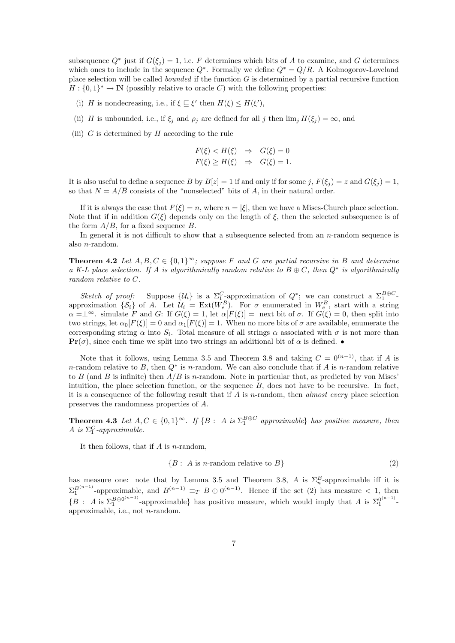subsequence  $Q^*$  just if  $G(\xi_j) = 1$ , i.e. F determines which bits of A to examine, and G determines which ones to include in the sequence  $Q^*$ . Formally we define  $Q^* = Q/R$ . A Kolmogorov-Loveland place selection will be called *bounded* if the function  $G$  is determined by a partial recursive function  $H: \{0,1\}^* \to \mathbb{N}$  (possibly relative to oracle C) with the following properties:

- (i) H is nondecreasing, i.e., if  $\xi \subseteq \xi'$  then  $H(\xi) \leq H(\xi'),$
- (ii) H is unbounded, i.e., if  $\xi_j$  and  $\rho_j$  are defined for all j then  $\lim_j H(\xi_j) = \infty$ , and
- (iii)  $G$  is determined by  $H$  according to the rule

$$
F(\xi) < H(\xi) \Rightarrow G(\xi) = 0
$$
\n
$$
F(\xi) \ge H(\xi) \Rightarrow G(\xi) = 1.
$$

It is also useful to define a sequence B by  $B[z] = 1$  if and only if for some j,  $F(\xi_i) = z$  and  $G(\xi_i) = 1$ , so that  $N = A/\overline{B}$  consists of the "nonselected" bits of A, in their natural order.

If it is always the case that  $F(\xi) = n$ , where  $n = |\xi|$ , then we have a Mises-Church place selection. Note that if in addition  $G(\xi)$  depends only on the length of  $\xi$ , then the selected subsequence is of the form  $A/B$ , for a fixed sequence B.

In general it is not difficult to show that a subsequence selected from an *n*-random sequence is also n-random.

**Theorem 4.2** Let  $A, B, C \in \{0, 1\}^{\infty}$ ; suppose F and G are partial recursive in B and determine a K-L place selection. If A is algorithmically random relative to  $B \oplus C$ , then  $Q^*$  is algorithmically random relative to C.

Sketch of proof: Suppose  $\{\mathcal{U}_i\}$  is a  $\Sigma_1^C$ -approximation of  $Q^*$ ; we can construct a  $\Sigma_1^{B\oplus C}$ approximation  $\{\mathcal{S}_i\}$  of A. Let  $\mathcal{U}_i = \text{Ext}(W_e^B)$ . For  $\sigma$  enumerated in  $W_e^B$ , start with a string  $\alpha = \perp^{\infty}$ . simulate F and G: If  $G(\xi) = 1$ , let  $\alpha[F(\xi)] = \text{next bit of } \sigma$ . If  $G(\xi) = 0$ , then split into two strings, let  $\alpha_0[F(\xi)] = 0$  and  $\alpha_1[F(\xi)] = 1$ . When no more bits of  $\sigma$  are available, enumerate the corresponding string  $\alpha$  into  $S_i$ . Total measure of all strings  $\alpha$  associated with  $\sigma$  is not more than **Pr**( $\sigma$ ), since each time we split into two strings an additional bit of  $\alpha$  is defined.  $\bullet$ 

Note that it follows, using Lemma 3.5 and Theorem 3.8 and taking  $C = 0^{(n-1)}$ , that if A is n-random relative to B, then  $Q^*$  is n-random. We can also conclude that if A is n-random relative to B (and B is infinite) then  $A/B$  is n-random. Note in particular that, as predicted by von Mises' intuition, the place selection function, or the sequence  $B$ , does not have to be recursive. In fact, it is a consequence of the following result that if  $A$  is n-random, then *almost every* place selection preserves the randomness properties of A.

**Theorem 4.3** Let  $A, C \in \{0,1\}^{\infty}$ . If  $\{B : A \text{ is } \Sigma_{1}^{B \oplus C}$  approximable has positive measure, then A is  $\Sigma_1^C$ -approximable.

It then follows, that if  $A$  is n-random,

$$
{B: A is n-random relative to B}
$$
\n
$$
(2)
$$

has measure one: note that by Lemma 3.5 and Theorem 3.8, A is  $\Sigma_n^B$ -approximable iff it is  $\Sigma_1^{B^{(n-1)}}$ -approximable, and  $B^{(n-1)} \equiv_T B \oplus 0^{(n-1)}$ . Hence if the set (2) has measure < 1, then  ${B : A \text{ is } \Sigma_1^{B \oplus 0^{(n-1)}}}$  $B\oplus 0^{(n-1)}$ -approximable} has positive measure, which would imply that A is  $\Sigma_1^{0^{(n-1)}}$ approximable, i.e., not n-random.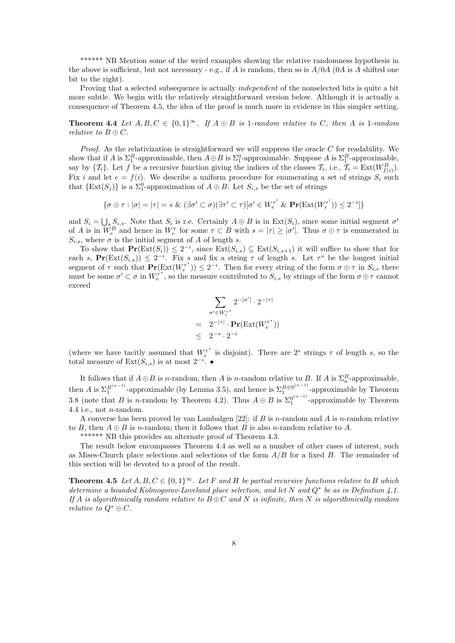\*\*\*\*\*\* NB Mention some of the weird examples showing the relative randomness hypothesis in the above is sufficient, but not necessary - e.g., if A is random, then so is  $A/0A$  (0A is A shifted one bit to the right).

Proving that a selected subsequence is actually *independent* of the nonselected bits is quite a bit more subtle. We begin with the relatively straightforward version below. Although it is actually a consequence of Theorem 4.5, the idea of the proof is much more in evidence in this simpler setting.

**Theorem 4.4** Let  $A, B, C \in \{0, 1\}^{\infty}$ . If  $A \oplus B$  is 1-random relative to C, then A is 1-random relative to  $B \oplus C$ .

*Proof.* As the relativization is straightforward we will suppress the oracle  $C$  for readability. We show that if A is  $\Sigma_1^B$ -approximable, then  $A \oplus B$  is  $\Sigma_1^0$ -approximable. Suppose A is  $\Sigma_1^B$ -approximable, say by  $\{\mathcal{T}_i\}$ . Let f be a recursive function giving the indices of the classes  $\mathcal{T}_i$ , i.e.,  $\mathcal{T}_i = \text{Ext}(W_{f(i)}^B)$ . Fix i and let  $e = f(i)$ . We describe a uniform procedure for enumerating a set of strings  $S_i$  such that  $\{Ext(S_j)\}\$ is a  $\Sigma_1^0$ -approximation of  $A \oplus B$ . Let  $S_{i,s}$  be the set of strings

$$
\{\sigma \oplus \tau : |\sigma| = |\tau| = s \& (\exists \sigma' \subset \sigma)(\exists \tau' \subset \tau)[\sigma' \in W^{\tau'}_e \& \mathbf{Pr}(\text{Ext}(W^{\tau'}_e)) \le 2^{-i}]\}
$$

and  $S_i = \bigcup_s S_{i,s}$ . Note that  $S_i$  is r.e. Certainly  $A \oplus B$  is in  $\text{Ext}(S_i)$ , since some initial segment  $\sigma'$ of A is in  $W_e^B$  and hence in  $W_e^{\tau}$  for some  $\tau \subset B$  with  $s = |\tau| \geq |\sigma'|$ . Thus  $\sigma \oplus \tau$  is enumerated in  $S_{i,s}$ , where  $\sigma$  is the initial segment of A of length s.

To show that  $Pr(\text{Ext}(S_i)) \leq 2^{-i}$ , since  $\text{Ext}(S_{i,s}) \subseteq \text{Ext}(S_{i,s+1})$  it will suffice to show that for each s,  $Pr(\text{Ext}(S_{i,s})) \leq 2^{-i}$ . Fix s and fix a string  $\tau$  of length s. Let  $\tau^*$  be the longest initial segment of  $\tau$  such that  $\mathbf{Pr}(\text{Ext}(W_t^{\tau^*})) \leq 2^{-i}$ . Then for every string of the form  $\sigma \oplus \tau$  in  $S_{i,s}$  there must be some  $\sigma' \subset \sigma$  in  $W_{e}^{\tau^*}$ , so the measure contributed to  $S_{i,s}$  by strings of the form  $\sigma \oplus \tau$  cannot exceed

$$
\sum_{\sigma' \in W_e^{\tau^*}} 2^{-|\sigma'|} \cdot 2^{-|\tau|}
$$
\n
$$
= 2^{-|\tau|} \cdot \mathbf{Pr}(\mathrm{Ext}(W_e^{\tau^*}))
$$
\n
$$
\leq 2^{-s} \cdot 2^{-i}
$$

(where we have tacitly assumed that  $W_c^{\tau^*}$  is disjoint). There are  $2^s$  strings  $\tau$  of length s, so the total measure of  $\text{Ext}(S_{i,s})$  is at most  $2^{-i}$ .  $\bullet$ 

It follows that if  $A \oplus B$  is n-random, then A is n-random relative to B. If A is  $\Sigma_n^B$ -approximable, then A is  $\Sigma_1^{B(n-1)}$ -approximable (by Lemma 3.5), and hence is  $\Sigma_1^{B\oplus 0^{(n-1)}}$  $^{B\oplus 0}$ <sup>1</sup> -approximable by Theorem 3.8 (note that B is n-random by Theorem 4.2). Thus  $A \oplus B$  is  $\Sigma_1^{0^{(n-1)}}$ -approximable by Theorem 4.4 i.e., not *n*-random.

A converse has been proved by van Lambalgen  $[22]$ : if B is n-random and A is n-random relative to B, then  $A \oplus B$  is n-random; then it follows that B is also n-random relative to A.

\*\*\*\*\*\* NB this provides an alternate proof of Theorem 4.3.

The result below encompasses Theorem 4.4 as well as a number of other cases of interest, such as Mises-Church place selections and selections of the form  $A/B$  for a fixed B. The remainder of this section will be devoted to a proof of the result.

**Theorem 4.5** Let  $A, B, C \in \{0, 1\}^{\infty}$ . Let F and H be partial recursive functions relative to B which determine a bounded Kolmogorov-Loveland place selection, and let N and  $Q^*$  be as in Definition 4.1. If A is algorithmically random relative to  $B \oplus C$  and N is infinite, then N is algorithmically random relative to  $O^* \oplus C$ .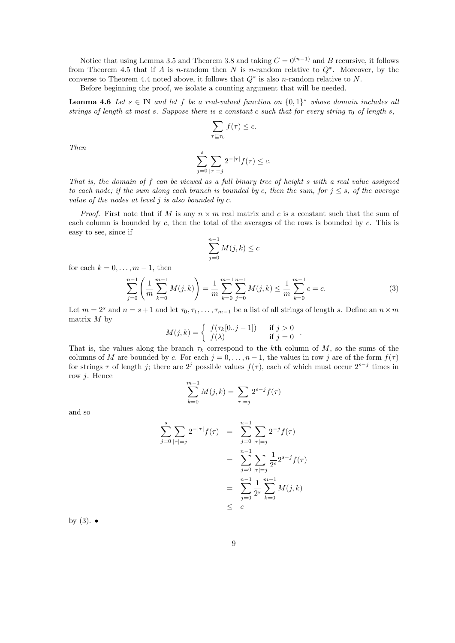Notice that using Lemma 3.5 and Theorem 3.8 and taking  $C = 0^{(n-1)}$  and B recursive, it follows from Theorem 4.5 that if A is n-random then N is n-random relative to  $Q^*$ . Moreover, by the converse to Theorem 4.4 noted above, it follows that  $Q^*$  is also *n*-random relative to N.

Before beginning the proof, we isolate a counting argument that will be needed.

**Lemma 4.6** Let  $s \in \mathbb{N}$  and let f be a real-valued function on  $\{0,1\}^*$  whose domain includes all strings of length at most s. Suppose there is a constant c such that for every string  $\tau_0$  of length s,

$$
\sum_{\tau \sqsubseteq \tau_0} f(\tau) \leq c.
$$

Then

$$
\sum_{j=0}^{s} \sum_{|\tau|=j} 2^{-|\tau|} f(\tau) \leq c.
$$

That is, the domain of f can be viewed as a full binary tree of height s with a real value assigned to each node; if the sum along each branch is bounded by c, then the sum, for  $j \leq s$ , of the average value of the nodes at level  $j$  is also bounded by  $c$ .

*Proof.* First note that if M is any  $n \times m$  real matrix and c is a constant such that the sum of each column is bounded by  $c$ , then the total of the averages of the rows is bounded by  $c$ . This is easy to see, since if

$$
\sum_{j=0}^{n-1} M(j,k) \le c
$$

for each  $k = 0, \ldots, m - 1$ , then

$$
\sum_{j=0}^{n-1} \left( \frac{1}{m} \sum_{k=0}^{m-1} M(j,k) \right) = \frac{1}{m} \sum_{k=0}^{m-1} \sum_{j=0}^{n-1} M(j,k) \le \frac{1}{m} \sum_{k=0}^{m-1} c = c.
$$
 (3)

Let  $m = 2<sup>s</sup>$  and  $n = s + 1$  and let  $\tau_0, \tau_1, \ldots, \tau_{m-1}$  be a list of all strings of length s. Define an  $n \times m$ matrix  $M$  by

$$
M(j,k) = \begin{cases} f(\tau_k[0..j-1]) & \text{if } j > 0 \\ f(\lambda) & \text{if } j = 0 \end{cases}.
$$

That is, the values along the branch  $\tau_k$  correspond to the kth column of M, so the sums of the columns of M are bounded by c. For each  $j = 0, \ldots, n-1$ , the values in row j are of the form  $f(\tau)$ for strings  $\tau$  of length j; there are  $2^j$  possible values  $f(\tau)$ , each of which must occur  $2^{s-j}$  times in row j. Hence

$$
\sum_{k=0}^{m-1} M(j,k) = \sum_{|\tau|=j} 2^{s-j} f(\tau)
$$

and so

$$
\sum_{j=0}^{s} \sum_{|\tau|=j} 2^{-|\tau|} f(\tau) = \sum_{j=0}^{n-1} \sum_{|\tau|=j} 2^{-j} f(\tau)
$$

$$
= \sum_{j=0}^{n-1} \sum_{|\tau|=j} \frac{1}{2^{s}} 2^{s-j} f(\tau)
$$

$$
= \sum_{j=0}^{n-1} \frac{1}{2^{s}} \sum_{k=0}^{m-1} M(j,k)
$$

$$
\leq c
$$

by  $(3)$ .  $\bullet$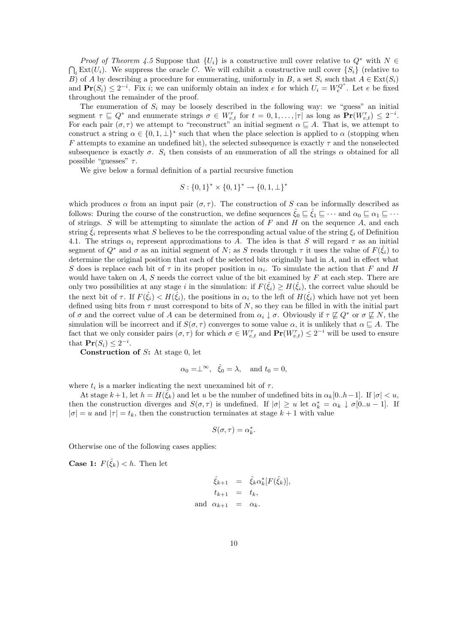*Proof of Theorem 4.5* Suppose that  $\{U_i\}$  is a constructive null cover relative to  $Q^*$  with  $N \in$  $\bigcap_i \text{Ext}(U_i)$ . We suppress the oracle C. We will exhibit a constructive null cover  $\{S_i\}$  (relative to B) of A by describing a procedure for enumerating, uniformly in B, a set  $S_i$  such that  $A \in \text{Ext}(S_i)$ and  $\mathbf{Pr}(S_i) \leq 2^{-i}$ . Fix i, we can uniformly obtain an index e for which  $U_i = W_e^{Q^*}$ . Let e be fixed throughout the remainder of the proof.

The enumeration of  $S_i$  may be loosely described in the following way: we "guess" an initial segment  $\tau \subseteq Q^*$  and enumerate strings  $\sigma \in W_{e,t}^{\tau}$  for  $t = 0, 1, \ldots, |\tau|$  as long as  $\Pr(W_{e,t}^{\tau}) \leq 2^{-i}$ . For each pair  $(\sigma, \tau)$  we attempt to "reconstruct" an initial segment  $\alpha \sqsubseteq A$ . That is, we attempt to construct a string  $\alpha \in \{0, 1, \perp\}^*$  such that when the place selection is applied to  $\alpha$  (stopping when F attempts to examine an undefined bit), the selected subsequence is exactly  $\tau$  and the nonselected subsequence is exactly  $\sigma$ .  $S_i$  then consists of an enumeration of all the strings  $\alpha$  obtained for all possible "guesses"  $\tau$ .

We give below a formal definition of a partial recursive function

$$
S: \{0,1\}^* \times \{0,1\}^* \to \{0,1,\perp\}^*
$$

which produces  $\alpha$  from an input pair  $(\sigma, \tau)$ . The construction of S can be informally described as follows: During the course of the construction, we define sequences  $\tilde{\xi}_0 \sqsubseteq \tilde{\xi}_1 \sqsubseteq \cdots$  and  $\alpha_0 \sqsubseteq \alpha_1 \sqsubseteq \cdots$ of strings.  $S$  will be attempting to simulate the action of  $F$  and  $H$  on the sequence  $A$ , and each string  $\hat{\xi}_i$  represents what S believes to be the corresponding actual value of the string  $\xi_i$  of Definition 4.1. The strings  $\alpha_i$  represent approximations to A. The idea is that S will regard  $\tau$  as an initial segment of  $Q^*$  and  $\sigma$  as an initial segment of N; as S reads through  $\tau$  it uses the value of  $F(\hat{\xi}_i)$  to determine the original position that each of the selected bits originally had in A, and in effect what S does is replace each bit of  $\tau$  in its proper position in  $\alpha_i$ . To simulate the action that F and H would have taken on  $A$ ,  $S$  needs the correct value of the bit examined by  $F$  at each step. There are only two possibilities at any stage i in the simulation: if  $F(\hat{\xi}_i) \geq H(\hat{\xi}_i)$ , the correct value should be the next bit of  $\tau$ . If  $F(\hat{\xi}_i) < H(\hat{\xi}_i)$ , the positions in  $\alpha_i$  to the left of  $H(\hat{\xi}_i)$  which have not yet been defined using bits from  $\tau$  must correspond to bits of N, so they can be filled in with the initial part of  $\sigma$  and the correct value of A can be determined from  $\alpha_i \downarrow \sigma$ . Obviously if  $\tau \not\sqsubseteq Q^*$  or  $\sigma \not\sqsubseteq N$ , the simulation will be incorrect and if  $S(\sigma, \tau)$  converges to some value  $\alpha$ , it is unlikely that  $\alpha \subseteq A$ . The fact that we only consider pairs  $(\sigma, \tau)$  for which  $\sigma \in W_{e,t}^{\tau}$  and  $\mathbf{Pr}(W_{e,t}^{\tau}) \leq 2^{-i}$  will be used to ensure that  $\mathbf{Pr}(S_i) \leq 2^{-i}$ .

Construction of S: At stage 0, let

$$
\alpha_0 = \perp^{\infty}, \quad \hat{\xi}_0 = \lambda, \text{ and } t_0 = 0,
$$

where  $t_i$  is a marker indicating the next unexamined bit of  $\tau$ .

At stage  $k+1$ , let  $h = H(\tilde{\xi_k})$  and let u be the number of undefined bits in  $\alpha_k[0..h-1]$ . If  $|\sigma| < u$ , then the construction diverges and  $S(\sigma, \tau)$  is undefined. If  $|\sigma| \geq u$  let  $\alpha_k^* = \alpha_k \downarrow \sigma[0..u-1]$ . If  $|\sigma| = u$  and  $|\tau| = t_k$ , then the construction terminates at stage  $k + 1$  with value

$$
S(\sigma,\tau)=\alpha_k^*.
$$

Otherwise one of the following cases applies:

**Case 1:**  $F(\hat{\xi}_k) < h$ . Then let

$$
\hat{\xi}_{k+1} = \hat{\xi}_k \alpha_k^* [F(\hat{\xi}_k)],
$$
  
\n
$$
t_{k+1} = t_k,
$$
  
\nand 
$$
\alpha_{k+1} = \alpha_k.
$$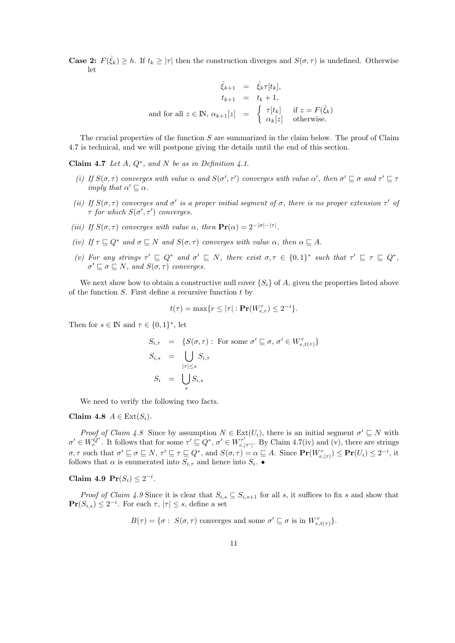**Case 2:**  $F(\hat{\xi}_k) \geq h$ . If  $t_k \geq |\tau|$  then the construction diverges and  $S(\sigma, \tau)$  is undefined. Otherwise let

$$
\hat{\xi}_{k+1} = \hat{\xi}_k \tau[t_k],
$$
\n
$$
t_{k+1} = t_k + 1,
$$
\nand for all  $z \in \mathbb{N}$ ,  $\alpha_{k+1}[z] = \begin{cases} \tau[t_k] & \text{if } z = F(\hat{\xi}_k) \\ \alpha_k[z] & \text{otherwise.} \end{cases}$ 

The crucial properties of the function  $S$  are summarized in the claim below. The proof of Claim 4.7 is technical, and we will postpone giving the details until the end of this section.

Claim 4.7 Let  $A, Q^*$ , and  $N$  be as in Definition 4.1.

- (i) If  $S(\sigma, \tau)$  converges with value  $\alpha$  and  $S(\sigma', \tau')$  converges with value  $\alpha'$ , then  $\sigma' \sqsubseteq \sigma$  and  $\tau' \sqsubseteq \tau$ imply that  $\alpha' \sqsubseteq \alpha$ .
- (ii) If  $S(\sigma, \tau)$  converges and  $\sigma'$  is a proper initial segment of  $\sigma$ , there is no proper extension  $\tau'$  of  $\tau$  for which  $S(\sigma', \tau')$  converges.
- (iii) If  $S(\sigma, \tau)$  converges with value  $\alpha$ , then  $\mathbf{Pr}(\alpha) = 2^{-|\sigma| |\tau|}$ .
- (iv) If  $\tau \sqsubseteq Q^*$  and  $\sigma \sqsubseteq N$  and  $S(\sigma, \tau)$  converges with value  $\alpha$ , then  $\alpha \sqsubseteq A$ .
- (v) For any strings  $\tau' \subseteq Q^*$  and  $\sigma' \subseteq N$ , there exist  $\sigma, \tau \in \{0,1\}^*$  such that  $\tau' \subseteq \tau \subseteq Q^*$ ,  $\sigma' \sqsubseteq \sigma \sqsubseteq N$ , and  $S(\sigma, \tau)$  converges.

We next show how to obtain a constructive null cover  $\{S_i\}$  of A, given the properties listed above of the function  $S$ . First define a recursive function  $t$  by

$$
t(\tau) = \max\{r \le |\tau| : \mathbf{Pr}(W_{e,r}^{\tau}) \le 2^{-i}\}.
$$

Then for  $s \in \mathbb{N}$  and  $\tau \in \{0,1\}^*$ , let

$$
S_{i,\tau} = \{ S(\sigma, \tau) : \text{ For some } \sigma' \sqsubseteq \sigma, \sigma' \in W_{e,t(\tau)}^{\tau} \}
$$
  
\n
$$
S_{i,s} = \bigcup_{|\tau| \leq s} S_{i,\tau}
$$
  
\n
$$
S_i = \bigcup_s S_{i,s}
$$

We need to verify the following two facts.

#### Claim 4.8  $A \in \text{Ext}(S_i)$ .

Proof of Claim 4.8 Since by assumption  $N \in Ext(U_i)$ , there is an initial segment  $\sigma' \subseteq N$  with  $\sigma' \in W_e^{\tilde{Q}^*}$ . It follows that for some  $\tau' \sqsubseteq Q^*$ ,  $\sigma' \in W_{e,1}^{\tau'}$  $\mathcal{F}_{e,|\tau'|}^{\tau}$ . By Claim 4.7(iv) and (v), there are strings  $\sigma, \tau$  such that  $\sigma' \sqsubseteq \sigma \sqsubseteq N$ ,  $\tau' \sqsubseteq \tau \sqsubseteq Q^*$ , and  $S(\sigma, \tau) = \alpha \sqsubseteq A$ . Since  $\mathbf{Pr}(W_{e, |\tau|}^{\tau}) \leq \mathbf{Pr}(U_i) \leq 2^{-i}$ , it follows that  $\alpha$  is enumerated into  $S_{i,\tau}$  and hence into  $S_i$ .

Claim 4.9  $Pr(S_i) \leq 2^{-i}$ .

*Proof of Claim 4.9* Since it is clear that  $S_{i,s} \subseteq S_{i,s+1}$  for all s, it suffices to fix s and show that  $\mathbf{Pr}(S_{i,s}) \leq 2^{-i}$ . For each  $\tau$ ,  $|\tau| \leq s$ , define a set

$$
B(\tau) = \{ \sigma : S(\sigma, \tau) \text{ converges and some } \sigma' \sqsubseteq \sigma \text{ is in } W_{e,t(\tau)}^{\tau} \}.
$$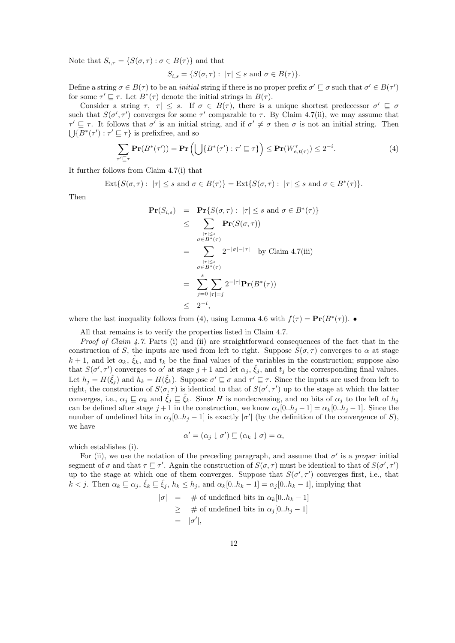Note that  $S_{i,\tau} = \{ S(\sigma, \tau) : \sigma \in B(\tau) \}$  and that

$$
S_{i,s} = \{ S(\sigma, \tau) : |\tau| \le s \text{ and } \sigma \in B(\tau) \}.
$$

Define a string  $\sigma \in B(\tau)$  to be an *initial* string if there is no proper prefix  $\sigma' \sqsubseteq \sigma$  such that  $\sigma' \in B(\tau')$ for some  $\tau' \sqsubseteq \tau$ . Let  $B^*(\tau)$  denote the initial strings in  $B(\tau)$ .

Consider a string  $\tau$ ,  $|\tau| \leq s$ . If  $\sigma \in B(\tau)$ , there is a unique shortest predecessor  $\sigma' \subseteq \sigma$ such that  $S(\sigma', \tau')$  converges for some  $\tau'$  comparable to  $\tau$ . By Claim 4.7(ii), we may assume that  $\tau' \sqsubseteq \tau$ . It follows that  $\sigma'$  is an initial string, and if  $\sigma' \neq \sigma$  then  $\sigma$  is not an initial string. Then  $\bigcup \{B^*(\tau'): \tau' \sqsubseteq \tau\}$  is prefixfree, and so

$$
\sum_{\tau' \sqsubseteq \tau} \mathbf{Pr}(B^*(\tau')) = \mathbf{Pr}\left(\bigcup\{B^*(\tau') : \tau' \sqsubseteq \tau\}\right) \le \mathbf{Pr}(W_{e,t(\tau)}^{\tau}) \le 2^{-i}.\tag{4}
$$

It further follows from Claim 4.7(i) that

 $\text{Ext}\{S(\sigma,\tau): |\tau| \leq s \text{ and } \sigma \in B(\tau)\} = \text{Ext}\{S(\sigma,\tau): |\tau| \leq s \text{ and } \sigma \in B^*(\tau)\}.$ 

Then

$$
\begin{array}{rcl}\n\mathbf{Pr}(S_{i,s}) & = & \mathbf{Pr}\{S(\sigma,\tau): \, |\tau| \le s \text{ and } \sigma \in B^*(\tau)\} \\
& \le & \sum_{\substack{|\tau| \le s \\ \sigma \in B^*(\tau)}} \mathbf{Pr}(S(\sigma,\tau)) \\
& = & \sum_{\substack{|\tau| \le s \\ \sigma \in B^*(\tau)}} 2^{-|\sigma| - |\tau|} \quad \text{by Claim 4.7(iii)} \\
& = & \sum_{j=0}^s \sum_{|\tau|=j} 2^{-|\tau|} \mathbf{Pr}(B^*(\tau)) \\
& \leq & 2^{-i},\n\end{array}
$$

where the last inequality follows from (4), using Lemma 4.6 with  $f(\tau) = \mathbf{Pr}(B^*(\tau))$ .

All that remains is to verify the properties listed in Claim 4.7.

*Proof of Claim 4.7.* Parts (i) and (ii) are straightforward consequences of the fact that in the construction of S, the inputs are used from left to right. Suppose  $S(\sigma, \tau)$  converges to  $\alpha$  at stage  $k+1$ , and let  $\alpha_k$ ,  $\hat{\zeta}_k$ , and  $t_k$  be the final values of the variables in the construction; suppose also that  $S(\sigma', \tau')$  converges to  $\alpha'$  at stage  $j+1$  and let  $\alpha_j$ ,  $\hat{\xi}_j$ , and  $t_j$  be the corresponding final values. Let  $h_j = H(\hat{\xi}_j)$  and  $h_k = H(\hat{\xi}_k)$ . Suppose  $\sigma' \sqsubseteq \sigma$  and  $\tau' \sqsubseteq \tau$ . Since the inputs are used from left to right, the construction of  $S(\sigma, \tau)$  is identical to that of  $S(\sigma', \tau')$  up to the stage at which the latter converges, i.e.,  $\alpha_j \sqsubseteq \alpha_k$  and  $\hat{\xi}_j \sqsubseteq \hat{\xi}_k$ . Since H is nondecreasing, and no bits of  $\alpha_j$  to the left of  $h_j$ can be defined after stage  $j + 1$  in the construction, we know  $\alpha_j[0..h_j - 1] = \alpha_k[0..h_j - 1]$ . Since the number of undefined bits in  $\alpha_j[0..h_j-1]$  is exactly  $|\sigma'|$  (by the definition of the convergence of S), we have

$$
\alpha' = (\alpha_j \downarrow \sigma') \sqsubseteq (\alpha_k \downarrow \sigma) = \alpha,
$$

which establishes (i).

For (ii), we use the notation of the preceding paragraph, and assume that  $\sigma'$  is a proper initial segment of  $\sigma$  and that  $\tau \sqsubseteq \tau'$ . Again the construction of  $S(\sigma, \tau)$  must be identical to that of  $S(\sigma', \tau')$ up to the stage at which one of them converges. Suppose that  $S(\sigma', \tau')$  converges first, i.e., that  $k < j$ . Then  $\alpha_k \sqsubseteq \alpha_j$ ,  $\hat{\xi}_k \sqsubseteq \hat{\xi}_j$ ,  $h_k \leq h_j$ , and  $\alpha_k[0..h_k-1] = \alpha_j[0..h_k-1]$ , implying that

$$
|\sigma| = # of undefined bits in  $\alpha_k[0..h_k - 1]$   
\n
$$
\geq # of undefined bits in  $\alpha_j[0..h_j - 1]$   
\n
$$
= |\sigma'|,
$$
$$
$$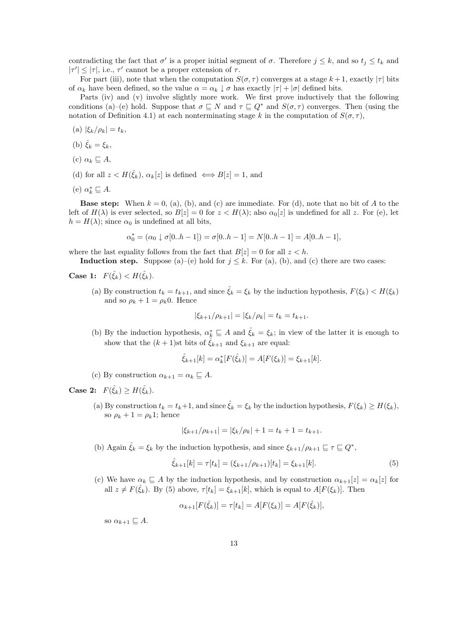contradicting the fact that  $\sigma'$  is a proper initial segment of  $\sigma$ . Therefore  $j \leq k$ , and so  $t_j \leq t_k$  and  $|\tau'| \leq |\tau|$ , i.e.,  $\tau'$  cannot be a proper extension of  $\tau$ .

For part (iii), note that when the computation  $S(\sigma, \tau)$  converges at a stage  $k+1$ , exactly  $|\tau|$  bits of  $\alpha_k$  have been defined, so the value  $\alpha = \alpha_k \downarrow \sigma$  has exactly  $|\tau| + |\sigma|$  defined bits.

Parts (iv) and (v) involve slightly more work. We first prove inductively that the following conditions (a)–(e) hold. Suppose that  $\sigma \sqsubseteq N$  and  $\tau \sqsubseteq Q^*$  and  $S(\sigma, \tau)$  converges. Then (using the notation of Definition 4.1) at each nonterminating stage k in the computation of  $S(\sigma, \tau)$ ,

- (a)  $|\xi_k/\rho_k| = t_k$ ,
- (b)  $\hat{\xi}_k = \xi_k$ ,
- (c)  $\alpha_k \sqsubseteq A$ ,
- (d) for all  $z < H(\hat{\xi}_k)$ ,  $\alpha_k[z]$  is defined  $\iff B[z] = 1$ , and
- (e)  $\alpha_k^* \sqsubseteq A$ .

**Base step:** When  $k = 0$ , (a), (b), and (c) are immediate. For (d), note that no bit of A to the left of  $H(\lambda)$  is ever selected, so  $B[z] = 0$  for  $z < H(\lambda)$ ; also  $\alpha_0[z]$  is undefined for all z. For (e), let  $h = H(\lambda)$ ; since  $\alpha_0$  is undefined at all bits,

$$
\alpha_0^* = (\alpha_0 \downarrow \sigma[0..h-1]) = \sigma[0..h-1] = N[0..h-1] = A[0..h-1],
$$

where the last equality follows from the fact that  $B[z] = 0$  for all  $z < h$ .

**Induction step.** Suppose (a)–(e) hold for  $j \leq k$ . For (a), (b), and (c) there are two cases:

Case 1:  $F(\hat{\xi}_k) < H(\hat{\xi}_k)$ .

(a) By construction  $t_k = t_{k+1}$ , and since  $\hat{\xi}_k = \xi_k$  by the induction hypothesis,  $F(\xi_k) < H(\xi_k)$ and so  $\rho_k + 1 = \rho_k 0$ . Hence

$$
|\xi_{k+1}/\rho_{k+1}| = |\xi_k/\rho_k| = t_k = t_{k+1}.
$$

(b) By the induction hypothesis,  $\alpha_k^* \subseteq A$  and  $\hat{\xi}_k = \xi_k$ ; in view of the latter it is enough to show that the  $(k + 1)$ st bits of  $\xi_{k+1}$  and  $\xi_{k+1}$  are equal:

$$
\hat{\xi}_{k+1}[k] = \alpha_k^*[F(\hat{\xi}_k)] = A[F(\xi_k)] = \xi_{k+1}[k].
$$

(c) By construction  $\alpha_{k+1} = \alpha_k \sqsubseteq A$ .

Case 2:  $F(\hat{\xi}_k) \geq H(\hat{\xi}_k)$ .

(a) By construction  $t_k = t_k+1$ , and since  $\hat{\xi}_k = \xi_k$  by the induction hypothesis,  $F(\xi_k) \geq H(\xi_k)$ , so  $\rho_k + 1 = \rho_k 1$ ; hence

$$
|\xi_{k+1}/\rho_{k+1}| = |\xi_k/\rho_k| + 1 = t_k + 1 = t_{k+1}.
$$

(b) Again  $\hat{\zeta}_k = \xi_k$  by the induction hypothesis, and since  $\xi_{k+1}/\rho_{k+1} \sqsubseteq \tau \sqsubseteq Q^*$ ,

$$
\hat{\xi}_{k+1}[k] = \tau[t_k] = (\xi_{k+1}/\rho_{k+1})[t_k] = \xi_{k+1}[k].\tag{5}
$$

(c) We have  $\alpha_k \subseteq A$  by the induction hypothesis, and by construction  $\alpha_{k+1}[z] = \alpha_k[z]$  for all  $z \neq F(\hat{\xi}_k)$ . By (5) above,  $\tau[t_k] = \xi_{k+1}[k]$ , which is equal to  $A[F(\xi_k)]$ . Then

$$
\alpha_{k+1}[F(\hat{\xi}_k)] = \tau[t_k] = A[F(\xi_k)] = A[F(\hat{\xi}_k)],
$$

so  $\alpha_{k+1} \sqsubseteq A$ .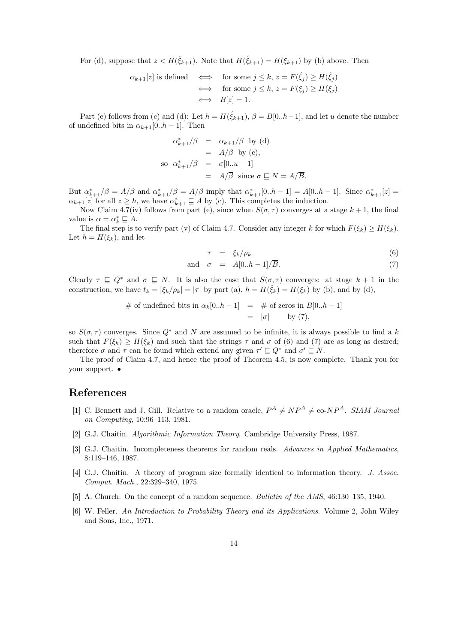For (d), suppose that  $z < H(\hat{\xi}_{k+1})$ . Note that  $H(\hat{\xi}_{k+1}) = H(\xi_{k+1})$  by (b) above. Then

$$
\alpha_{k+1}[z] \text{ is defined } \iff \text{ for some } j \leq k, z = F(\hat{\xi}_j) \geq H(\hat{\xi}_j)
$$
  

$$
\iff \text{ for some } j \leq k, z = F(\xi_j) \geq H(\xi_j)
$$
  

$$
\iff B[z] = 1.
$$

Part (e) follows from (c) and (d): Let  $h = H(\hat{\xi}_{k+1}), \beta = B[0..h-1]$ , and let u denote the number of undefined bits in  $\alpha_{k+1}[0..h-1]$ . Then

$$
\alpha_{k+1}^*/\beta = \alpha_{k+1}/\beta \text{ by (d)}
$$
  
=  $A/\beta$  by (c),  
so  $\alpha_{k+1}^*/\overline{\beta} = \sigma[0..u-1]$   
=  $A/\overline{\beta}$  since  $\sigma \subseteq N = A/\overline{B}$ .

But  $\alpha_{k+1}^*/\beta = A/\beta$  and  $\alpha_{k+1}^*/\overline{\beta} = A/\overline{\beta}$  imply that  $\alpha_{k+1}^*[0..h-1] = A[0..h-1]$ . Since  $\alpha_{k+1}^*[z] =$  $\alpha_{k+1}[z]$  for all  $z \geq h$ , we have  $\alpha_{k+1}^* \sqsubseteq A$  by (c). This completes the induction.

Now Claim 4.7(iv) follows from part (e), since when  $S(\sigma, \tau)$  converges at a stage  $k + 1$ , the final value is  $\alpha = \alpha_k^* \sqsubseteq A$ .

The final step is to verify part (v) of Claim 4.7. Consider any integer k for which  $F(\xi_k) \geq H(\xi_k)$ . Let  $h = H(\xi_k)$ , and let

$$
\tau = \xi_k / \rho_k \tag{6}
$$

and 
$$
\sigma = A[0..h-1]/\overline{B}
$$
. (7)

Clearly  $\tau \subseteq Q^*$  and  $\sigma \subseteq N$ . It is also the case that  $S(\sigma, \tau)$  converges: at stage  $k + 1$  in the construction, we have  $t_k = |\xi_k/\rho_k| = |\tau|$  by part (a),  $h = H(\hat{\xi}_k) = H(\xi_k)$  by (b), and by (d),

# of undefined bits in 
$$
\alpha_k[0..h-1]
$$
 = # of zeros in  $B[0..h-1]$   
=  $|\sigma|$  by (7),

so  $S(\sigma, \tau)$  converges. Since  $Q^*$  and N are assumed to be infinite, it is always possible to find a k such that  $F(\xi_k) \geq H(\xi_k)$  and such that the strings  $\tau$  and  $\sigma$  of (6) and (7) are as long as desired; therefore  $\sigma$  and  $\tau$  can be found which extend any given  $\tau' \sqsubseteq Q^*$  and  $\sigma' \sqsubseteq N$ .

The proof of Claim 4.7, and hence the proof of Theorem 4.5, is now complete. Thank you for your support. •

#### References

- [1] C. Bennett and J. Gill. Relative to a random oracle,  $P^A \neq NP^A \neq$  co-N $P^A$ . SIAM Journal on Computing, 10:96–113, 1981.
- [2] G.J. Chaitin. Algorithmic Information Theory. Cambridge University Press, 1987.
- [3] G.J. Chaitin. Incompleteness theorems for random reals. Advances in Applied Mathematics, 8:119–146, 1987.
- [4] G.J. Chaitin. A theory of program size formally identical to information theory. J. Assoc. Comput. Mach., 22:329–340, 1975.
- [5] A. Church. On the concept of a random sequence. Bulletin of the AMS, 46:130–135, 1940.
- [6] W. Feller. An Introduction to Probability Theory and its Applications. Volume 2, John Wiley and Sons, Inc., 1971.